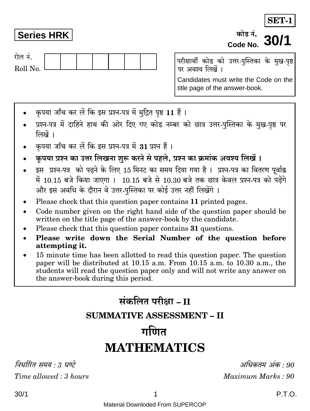**SET-1** 

### कोड नं Code No.

गेल नं Roll No

परीक्षार्थी कोड को उत्तर-पुस्तिका के मुख-पृष्ठ पर अवश्य लिखें ।

Candidates must write the Code on the title page of the answer-book.

- कृपया जाँच कर लें कि इस प्रश्न-पत्र में मुद्रित पृष्ठ 11 हैं।
- प्रश्न-पत्र में दाहिने हाथ की ओर दिए गए कोड नम्बर को छात्र उत्तर-पस्तिका के मख-पष्ठ पर  $\overrightarrow{m}$ यें ।
- कपया जाँच कर लें कि इस प्रश्न-पत्र में 31 प्रश्न हैं।
- कपया प्रश्न का उत्तर लिखना शुरू करने से पहले. प्रश्न का क्रमांक अवश्य लिखें।
- इस प्रश्न-पत्र को पढने के लिए 15 मिनट का समय दिया गया है। प्रश्न-पत्र का वितरण पूर्वाह्न में 10.15 बजे किया जाएगा । 10.15 बजे से 10.30 बजे तक छात्र केवल प्रश्न-पत्र को पढेंगे और इस अवधि के दौरान वे उत्तर-पुस्तिका पर कोई उत्तर नहीं लिखेंगे ।
- Please check that this question paper contains 11 printed pages.
- Code number given on the right hand side of the question paper should be written on the title page of the answer-book by the candidate.
- Please check that this question paper contains 31 questions.
- Please write down the Serial Number of the question before attempting it.
- 15 minute time has been allotted to read this question paper. The question paper will be distributed at 10.15 a.m. From 10.15 a.m. to 10.30 a.m., the students will read the question paper only and will not write any answer on the answer-book during this period.

# संकलित परीक्षा – II

## **SUMMATIVE ASSESSMENT - II**

# गणित

# **MATHEMATICS**

निर्धारित ममय  $\cdot$  १ घण्टे Time allowed: 3 hours अधिकतम् अंक  $\cdot$  90

Maximum Marks: 90

P.T.O.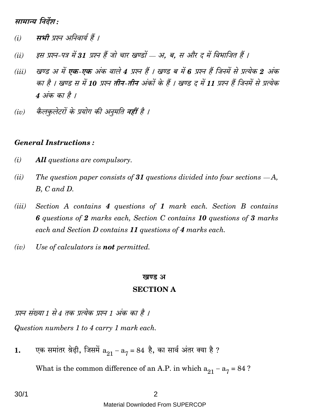मामान्य निर्देश :

- मभी प्रश्न अनिवार्य हैं ।  $(i)$
- इस प्रश्न-पत्र में 31 प्रश्न हैं जो चार खण्डों ... अ. ब. स और द में विभाजित हैं ।  $(ii)$
- खण्ड अ में एक-एक अंक वाले 4 प्रश्न हैं । खण्ड ब में 6 प्रश्न हैं जिनमें से प्रत्येक 2 अंक  $(iii)$ का है । खण्ड स में 10 प्रश्न तीन-तीन अंकों के हैं । खण्ड द में 11 प्रश्न हैं जिनमें से प्रत्येक  $4 \overline{37}$ क का है ।
- कैलकलेटरों के प्रयोग की अनमति **नहीं** है ।  $(iv)$

#### **General Instructions:**

- $(i)$ **All** questions are compulsory.
- $(ii)$ The question paper consists of 31 questions divided into four sections  $-A$ ,  $B, C \text{ and } D.$
- Section A contains 4 questions of 1 mark each. Section B contains  $(iii)$ **6** questions of 2 marks each, Section C contains 10 questions of 3 marks each and Section D contains 11 questions of 4 marks each.
- Use of calculators is **not** permitted.  $(iv)$

#### खण्ड अ

#### **SECTION A**

प्रश्न संख्या 1 से 4 तक प्रत्येक प्रश्न 1 अंक का है ।

Question numbers 1 to 4 carry 1 mark each.

एक समांतर श्रेढ़ी, जिसमें  $a_{21} - a_7 = 84$  है, का सार्व अंतर क्या है ? 1.

What is the common difference of an A.P. in which  $a_{21} - a_7 = 84$ ?

 $30/1$ 

Material Downloded From SUPFRCOP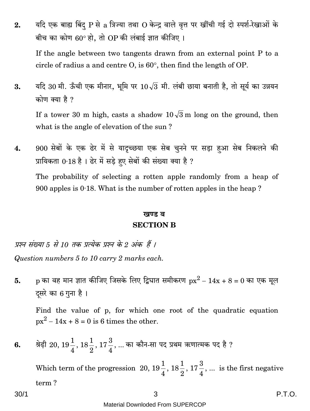यदि एक बाह्य बिंद P से a त्रिज्या तथा O केन्द्र वाले वृत्त पर खींची गई दो स्पर्श-रेखाओं के  $2.$ बीच का कोण 60° हो. तो OP की लंबाई ज्ञात कीजिए ।

If the angle between two tangents drawn from an external point P to a circle of radius a and centre  $O$ , is  $60^{\circ}$ , then find the length of OP.

यदि 30 मी. ऊँची एक मीनार, भूमि पर 10 $\sqrt{3}$  मी. लंबी छाया बनाती है, तो सूर्य का उन्नयन 3. कोण क्या है ?

If a tower 30 m high, casts a shadow  $10\sqrt{3}$  m long on the ground, then what is the angle of elevation of the sun?

900 सेबों के एक ढेर में से यादुच्छया एक सेब चुनने पर सड़ा हुआ सेब निकलने की  $\overline{4}$ . प्रायिकता 0·18 है। ढेर में सड़े हुए सेबों की संख्या क्या है ?

The probability of selecting a rotten apple randomly from a heap of 900 apples is  $0.18$ . What is the number of rotten apples in the heap?

### खण्ड ब **SECTION B**

प्रश्न संख्या 5 से 10 तक प्रत्येक प्रश्न के 2 अंक हैं । Question numbers 5 to 10 carry 2 marks each.

 $\rm p$  का वह मान ज्ञात कीजिए जिसके लिए द्विघात समीकरण  $\rm px^2-14x+8=0$  का एक मूल 5. दूसरे का 6 गुना है।

Find the value of p, for which one root of the quadratic equation  $px^2 - 14x + 8 = 0$  is 6 times the other.

श्रेढ़ी 20, 19 $\frac{1}{4}$ , 18 $\frac{1}{9}$ , 17 $\frac{3}{4}$ , ... का कौन-सा पद प्रथम ऋणात्मक पद है ? 6.

Which term of the progression 20,  $19\frac{1}{4}$ ,  $18\frac{1}{2}$ ,  $17\frac{3}{4}$ , ... is the first negative

term?

 $30/1$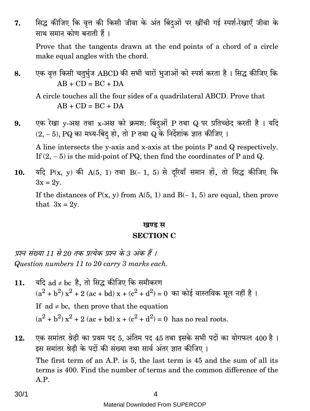सिद्ध कीजिए कि वृत्त की किसी जीवा के अंत बिंदुओं पर खींची गई स्पर्श-रेखाएँ जीवा के 7. साथ समान कोण बनाती हैं।

Prove that the tangents drawn at the end points of a chord of a circle make equal angles with the chord.

एक वृत्त किसी चतुर्भुज ABCD की सभी चारों भुजाओं को स्पर्श करता है। सिद्ध कीजिए कि 8.  $AB + CD = BC + DA$ 

A circle touches all the four sides of a quadrilateral ABCD. Prove that  $AB + CD = BC + DA$ 

एक रेखा v-अक्ष तथा x-अक्ष को क्रमश: बिंदओं P तथा Q पर प्रतिच्छेद करती है । यदि  $\mathbf{Q}_1$  $(2, -5)$ , PQ का मध्य-बिंदु हो, तो P तथा Q के निर्देशांक ज्ञात कीजिए।

A line intersects the y-axis and x-axis at the points P and Q respectively. If  $(2, -5)$  is the mid-point of PQ, then find the coordinates of P and Q.

यदि P(x, y) की A(5, 1) तथा B(– 1, 5) से दरियाँ समान हों, तो सिद्ध कीजिए कि 10.  $3x = 2y$ .

If the distances of  $P(x, y)$  from A(5, 1) and B(-1, 5) are equal, then prove that  $3x = 2y$ .

## खण्ड स

### **SECTION C**

प्रश्न संख्या 11 से 20 तक प्रत्येक प्रश्न के 3 अंक हैं । Question numbers 11 to 20 carry 3 marks each.

- यदि  $ad \neq bc$  है. तो सिद्ध कीजिए कि समीकरण 11.  $(a^{2} + b^{2}) x^{2} + 2 (ac + bd) x + (c^{2} + d^{2}) = 0$  का कोई वास्तविक मूल नहीं है । If  $ad \neq bc$ , then prove that the equation  $(a^{2} + b^{2}) x^{2} + 2 (ac + bd) x + (c^{2} + d^{2}) = 0$  has no real roots.
- एक समांतर श्रेढ़ी का प्रथम पद 5, अंतिम पद 45 तथा इसके सभी पदों का योगफल 400 है। 12. इस समांतर श्रेढी के पदों की संख्या तथा सार्व अंतर ज्ञात कीजिए । The first term of an A.P. is 5, the last term is 45 and the sum of all its terms is 400. Find the number of terms and the common difference of the A.P.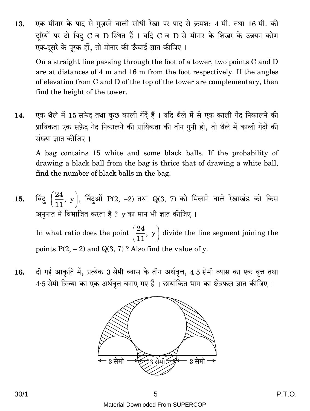एक मीनार के पाद से गुज़रने वाली सीधी रेखा पर पाद से क्रमश: 4 मी. तथा 16 मी. की 13. दरियों पर दो बिंद C व D स्थित हैं । यदि C व D से मीनार के शिखर के उन्नयन कोण एक-दसरे के पूरक हों, तो मीनार की ऊँचाई ज्ञात कीजिए ।

On a straight line passing through the foot of a tower, two points C and D are at distances of 4 m and 16 m from the foot respectively. If the angles of elevation from C and D of the top of the tower are complementary, then find the height of the tower.

एक थैले में 15 सफ़ेद तथा कुछ काली गेंदें हैं । यदि थैले में से एक काली गेंद निकालने की 14. प्रायिकता एक सफ़ेद गेंद निकालने की प्रायिकता की तीन गुनी हो, तो थैले में काली गेंदों की संख्या ज्ञात कीजिए ।

A bag contains 15 white and some black balls. If the probability of drawing a black ball from the bag is thrice that of drawing a white ball, find the number of black balls in the bag.

- बिंदु  $\left(\frac{24}{11}, y\right)$ , बिंदुओं P(2, -2) तथा Q(3, 7) को मिलाने वाले रेखाखंड को किस 15. अनपात में विभाजित करता है ? v का मान भी ज्ञात कीजिए । In what ratio does the point  $\left(\frac{24}{11}, y\right)$  divide the line segment joining the points  $P(2, -2)$  and  $Q(3, 7)$ ? Also find the value of y.
- दी गई आकृति में, प्रत्येक 3 सेमी व्यास के तीन अर्धवृत्त, 4.5 सेमी व्यास का एक वृत्त तथा 16. 4.5 सेमी त्रिज्या का एक अर्धवृत्त बनाए गए हैं । छायांकित भाग का क्षेत्रफल ज्ञात कीजिए ।



5 Material Downloded From SUPERCOP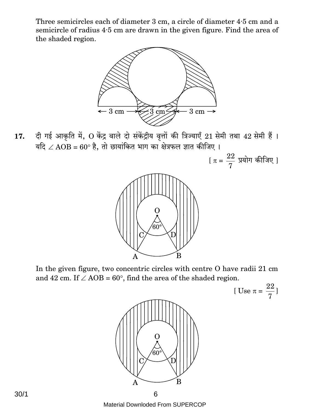Three semicircles each of diameter 3 cm, a circle of diameter 4.5 cm and a semicircle of radius 4.5 cm are drawn in the given figure. Find the area of the shaded region.



दी गई आकृति में, O केंद्र वाले दो संकेंद्रीय वृत्तों की त्रिज्याएँ 21 सेमी तथा 42 सेमी हैं । 17. यदि  $\angle$  AOB = 60° है, तो छायांकित भाग का क्षेत्रफल ज्ञात कीजिए ।

[  $\pi = \frac{22}{7}$  प्रयोग कीजिए ]



In the given figure, two concentric circles with centre O have radii 21 cm and 42 cm. If  $\angle$  AOB = 60°, find the area of the shaded region.



$$
[\text{Use } \pi = \frac{22}{7}]
$$

Material Downloded From SUPERCOP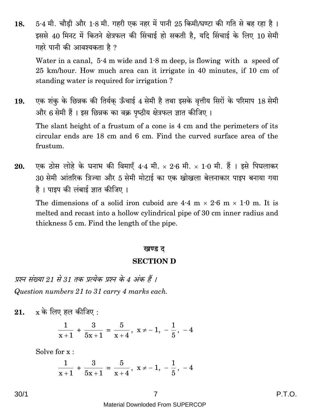5.4 मी. चौडी और 1.8 मी. गहरी एक नहर में पानी 25 किमी/घण्टा की गति से बह रहा है। 18. इससे 40 मिनट में कितने क्षेत्रफल की सिंचाई हो सकती है. यदि सिंचाई के लिए 10 सेमी गहरे पानी की आवश्यकता है ?

Water in a canal,  $5.4$  m wide and  $1.8$  m deep, is flowing with a speed of 25 km/hour. How much area can it irrigate in 40 minutes, if 10 cm of standing water is required for irrigation?

- एक शंकु के छिन्नक की तिर्यक ऊँचाई 4 सेमी है तथा इसके वृत्तीय सिरों के परिमाप 18 सेमी 19. और 6 सेमी हैं । इस छिन्नक का वक्र पृष्ठीय क्षेत्रफल ज्ञात कीजिए । The slant height of a frustum of a cone is 4 cm and the perimeters of its circular ends are 18 cm and 6 cm. Find the curved surface area of the frustum.
- एक ठोस लोहे के घनाभ की विमाएँ 4.4 मी. × 2.6 मी. × 1.0 मी. हैं । इसे पिघलाकर 20. 30 सेमी आंतरिक त्रिज्या और 5 सेमी मोटाई का एक खोखला बेलनाकार पाइप बनाया गया है। पाइप की लंबाई ज्ञात कीजिए।

The dimensions of a solid iron cuboid are  $4.4 \text{ m} \times 2.6 \text{ m} \times 1.0 \text{ m}$ . It is melted and recast into a hollow cylindrical pipe of 30 cm inner radius and thickness 5 cm. Find the length of the pipe.

#### खण्ड द

#### **SECTION D**

प्रश्न संख्या 21 से 31 तक प्रत्येक प्रश्न के 4 अंक हैं । Question numbers 21 to 31 carry 4 marks each.

 $x$  के लिए हल कीजिए : 21.

$$
\frac{1}{x+1} + \frac{3}{5x+1} = \frac{5}{x+4}, \ x \neq -1, -\frac{1}{5}, -4
$$

Solve for x:

$$
\frac{1}{x+1} + \frac{3}{5x+1} = \frac{5}{x+4}, \ x \neq -1, -\frac{1}{5}, -4
$$

 $30/1$ 

P.T.O.

Material Downloded From SUPFRCOP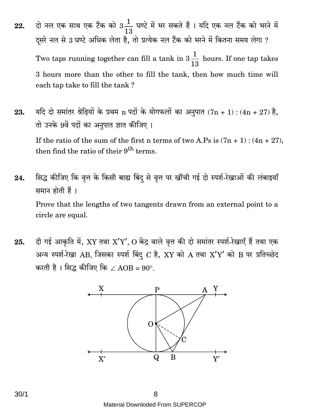- दो नल एक साथ एक टैंक को  $3\frac{1}{13}$  घण्टे में भर सकते हैं । यदि एक नल टैंक को भरने में 22. दूसरे नल से 3 घण्टे अधिक लेता है, तो प्रत्येक नल टैंक को भरने में कितना समय लेगा ? Two taps running together can fill a tank in  $3\frac{1}{13}$  hours. If one tap takes 3 hours more than the other to fill the tank, then how much time will each tap take to fill the tank?
- यदि दो समांतर श्रेढ़ियों के प्रथम n पदों के योगफलों का अनुपात (7n + 1) : (4n + 27) है, 23. तो उनके 9वें पदों का अनुपात ज्ञात कीजिए।

If the ratio of the sum of the first n terms of two A.Ps is  $(7n + 1)$ :  $(4n + 27)$ , then find the ratio of their 9<sup>th</sup> terms.

- सिद्ध कीजिए कि वृत्त के किसी बाह्य बिंदु से वृत्त पर खींची गई दो स्पर्श-रेखाओं की लंबाइयाँ 24. समान होती हैं । Prove that the lengths of two tangents drawn from an external point to a circle are equal.
- दी गई आकृति में, XY तथा X'Y', O केंद्र वाले वृत्त की दो समांतर स्पर्श-रेखाएँ हैं तथा एक 25. अन्य स्पर्श-रेखा AB, जिसका स्पर्श बिंदु C है, XY को A तथा X'Y' को B पर प्रतिच्छेद करती है। सिद्ध कीजिए कि  $\angle$  AOB = 90°.



8 Material Downloded From SUPERCOP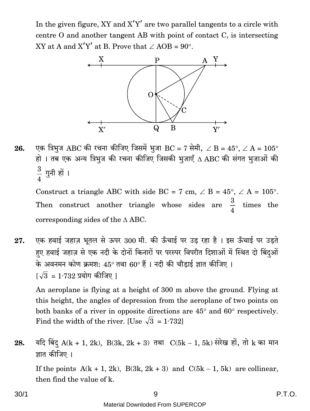In the given figure,  $XY$  and  $X'Y'$  are two parallel tangents to a circle with centre O and another tangent AB with point of contact C, is intersecting XY at A and X'Y' at B. Prove that  $\angle$  AOB = 90°.



एक त्रिभुज ABC की रचना कीजिए जिसमें भूजा BC = 7 सेमी,  $\angle$  B = 45°,  $\angle$  A = 105° 26. हो । तब एक अन्य त्रिभूज की रचना कीजिए जिसकी भूजाएँ  $\Delta$  ABC की संगत भूजाओं की  $\frac{3}{4}$  गुनी हों ।

Construct a triangle ABC with side BC = 7 cm,  $\angle$  B = 45°,  $\angle$  A = 105°. Then construct another triangle whose sides are  $\frac{3}{4}$  times the corresponding sides of the  $\triangle$  ABC.

एक हवाई जहाज़ भूतल से ऊपर 300 मी. की ऊँचाई पर उड़ रहा है । इस ऊँचाई पर उड़ते 27. हुए हवाई जहाज़ से एक नदी के दोनों किनारों पर परस्पर विपरीत दिशाओं में स्थित दो बिंदुओं के अवनमन कोण क्रमश: 45° तथा 60° हैं । नदी की चौडाई ज्ञात कीजिए ।  $\sqrt{3}$  = 1·732 प्रयोग कीजिए 1

An aeroplane is flying at a height of 300 m above the ground. Flying at this height, the angles of depression from the aeroplane of two points on both banks of a river in opposite directions are  $45^{\circ}$  and  $60^{\circ}$  respectively. Find the width of the river. [Use  $\sqrt{3}$  = 1.732]

यदि बिंद A(k + 1, 2k), B(3k, 2k + 3) तथा  $C(5k - 1, 5k)$  संरेख हों, तो k का मान 28. ज्ञात कीजिए ।

If the points  $A(k + 1, 2k)$ ,  $B(3k, 2k + 3)$  and  $C(5k - 1, 5k)$  are collinear, then find the value of k.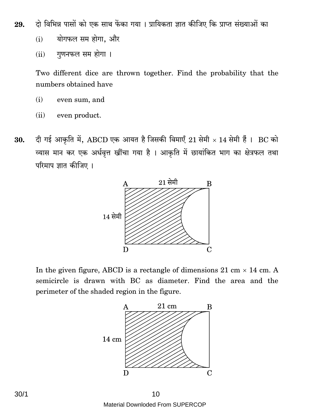दो विभिन्न पासों को एक साथ फेंका गया । प्रायिकता ज्ञात कीजिए कि प्राप्त संख्याओं का 29.

- योगफल सम होगा. और  $(i)$
- गणनफल सम होगा ।  $(ii)$

Two different dice are thrown together. Find the probability that the numbers obtained have

- $(i)$ even sum, and
- $(ii)$ even product.
- दी गई आकृति में, ABCD एक आयत है जिसकी विमाएँ 21 सेमी  $\times$  14 सेमी हैं । BC को 30. व्यास मान कर एक अर्धवृत्त खींचा गया है। आकृति में छायांकित भाग का क्षेत्रफल तथा परिमाप ज्ञात कीजिए ।



In the given figure, ABCD is a rectangle of dimensions 21 cm  $\times$  14 cm. A semicircle is drawn with BC as diameter. Find the area and the perimeter of the shaded region in the figure.



10 Material Downloded From SUPFRCOP